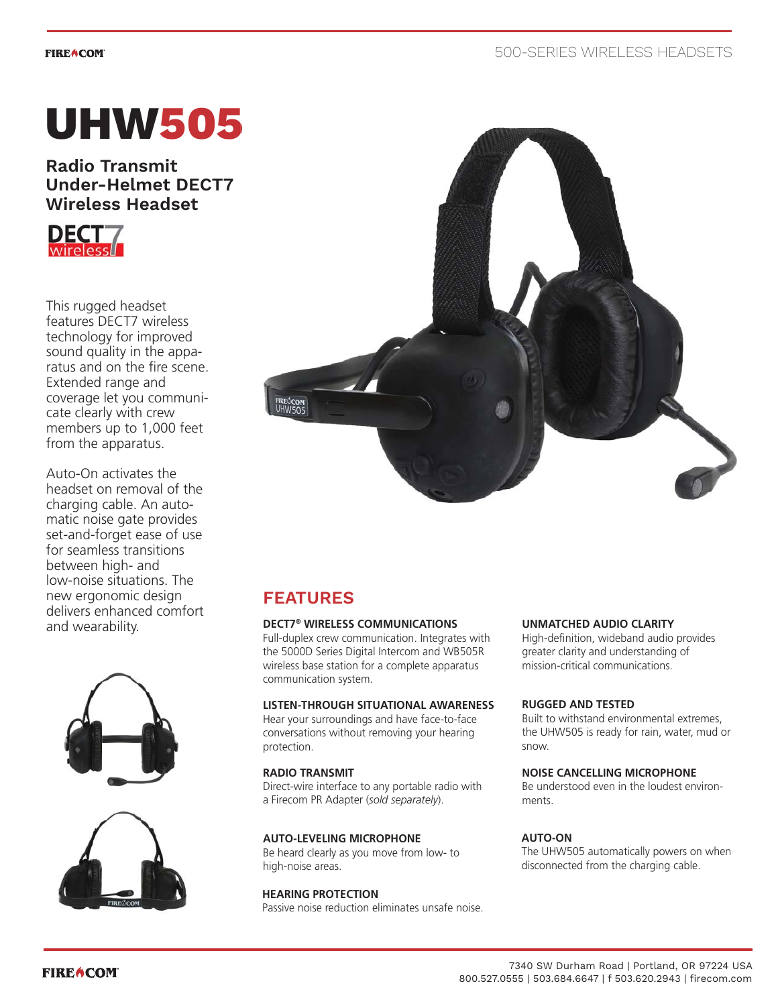#### **FIREACOM**

# **UHW505**

**Radio Transmit Under-Helmet DECT7 Wireless Headset**



This rugged headset features DECT7 wireless technology for improved sound quality in the apparatus and on the fire scene. Extended range and coverage let you communicate clearly with crew members up to 1,000 feet from the apparatus.

Auto-On activates the headset on removal of the charging cable. An automatic noise gate provides set-and-forget ease of use for seamless transitions between high- and low-noise situations. The new ergonomic design delivers enhanced comfort and wearability.







# **FEATURES**

# **DECT7® WIRELESS COMMUNICATIONS**

Full-duplex crew communication. Integrates with the 5000D Series Digital Intercom and WB505R wireless base station for a complete apparatus communication system.

# **LISTEN-THROUGH SITUATIONAL AWARENESS**

Hear your surroundings and have face-to-face conversations without removing your hearing protection.

# **RADIO TRANSMIT**

Direct-wire interface to any portable radio with a Firecom PR Adapter (*sold separately*).

# **AUTO-LEVELING MICROPHONE**

Be heard clearly as you move from low- to high-noise areas.

# **HEARING PROTECTION**

Passive noise reduction eliminates unsafe noise.

# **UNMATCHED AUDIO CLARITY**

High-definition, wideband audio provides greater clarity and understanding of mission-critical communications.

# **RUGGED AND TESTED**

Built to withstand environmental extremes, the UHW505 is ready for rain, water, mud or snow.

# **NOISE CANCELLING MICROPHONE**

Be understood even in the loudest environments.

# **AUTO-ON**

The UHW505 automatically powers on when disconnected from the charging cable.